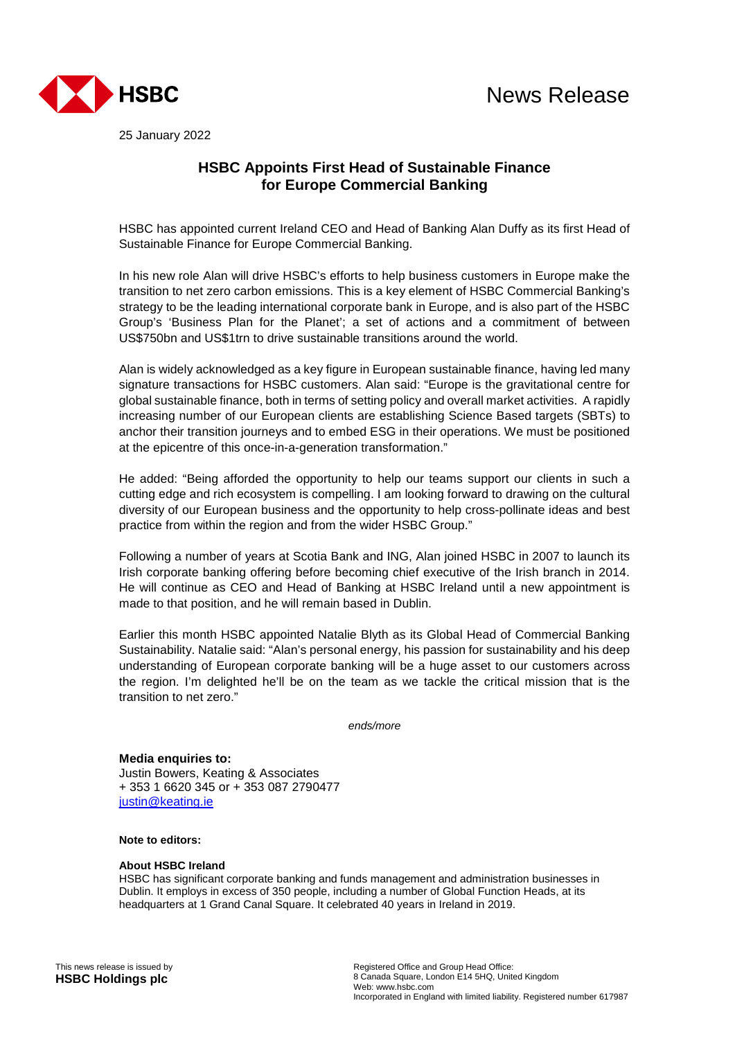

25 January 2022

# **HSBC Appoints First Head of Sustainable Finance for Europe Commercial Banking**

HSBC has appointed current Ireland CEO and Head of Banking Alan Duffy as its first Head of Sustainable Finance for Europe Commercial Banking.

In his new role Alan will drive HSBC's efforts to help business customers in Europe make the transition to net zero carbon emissions. This is a key element of HSBC Commercial Banking's strategy to be the leading international corporate bank in Europe, and is also part of the HSBC Group's 'Business Plan for the Planet'; a set of actions and a commitment of between US\$750bn and US\$1trn to drive sustainable transitions around the world.

Alan is widely acknowledged as a key figure in European sustainable finance, having led many signature transactions for HSBC customers. Alan said: "Europe is the gravitational centre for global sustainable finance, both in terms of setting policy and overall market activities. A rapidly increasing number of our European clients are establishing Science Based targets (SBTs) to anchor their transition journeys and to embed ESG in their operations. We must be positioned at the epicentre of this once-in-a-generation transformation."

He added: "Being afforded the opportunity to help our teams support our clients in such a cutting edge and rich ecosystem is compelling. I am looking forward to drawing on the cultural diversity of our European business and the opportunity to help cross-pollinate ideas and best practice from within the region and from the wider HSBC Group."

Following a number of years at Scotia Bank and ING, Alan joined HSBC in 2007 to launch its Irish corporate banking offering before becoming chief executive of the Irish branch in 2014. He will continue as CEO and Head of Banking at HSBC Ireland until a new appointment is made to that position, and he will remain based in Dublin.

Earlier this month HSBC appointed Natalie Blyth as its Global Head of Commercial Banking Sustainability. Natalie said: "Alan's personal energy, his passion for sustainability and his deep understanding of European corporate banking will be a huge asset to our customers across the region. I'm delighted he'll be on the team as we tackle the critical mission that is the transition to net zero."

*ends/more* 

**Media enquiries to:**  Justin Bowers, Keating & Associates + 353 1 6620 345 or + 353 087 2790477 justin@keating.ie

## **Note to editors:**

#### **About HSBC Ireland**

HSBC has significant corporate banking and funds management and administration businesses in Dublin. It employs in excess of 350 people, including a number of Global Function Heads, at its headquarters at 1 Grand Canal Square. It celebrated 40 years in Ireland in 2019.